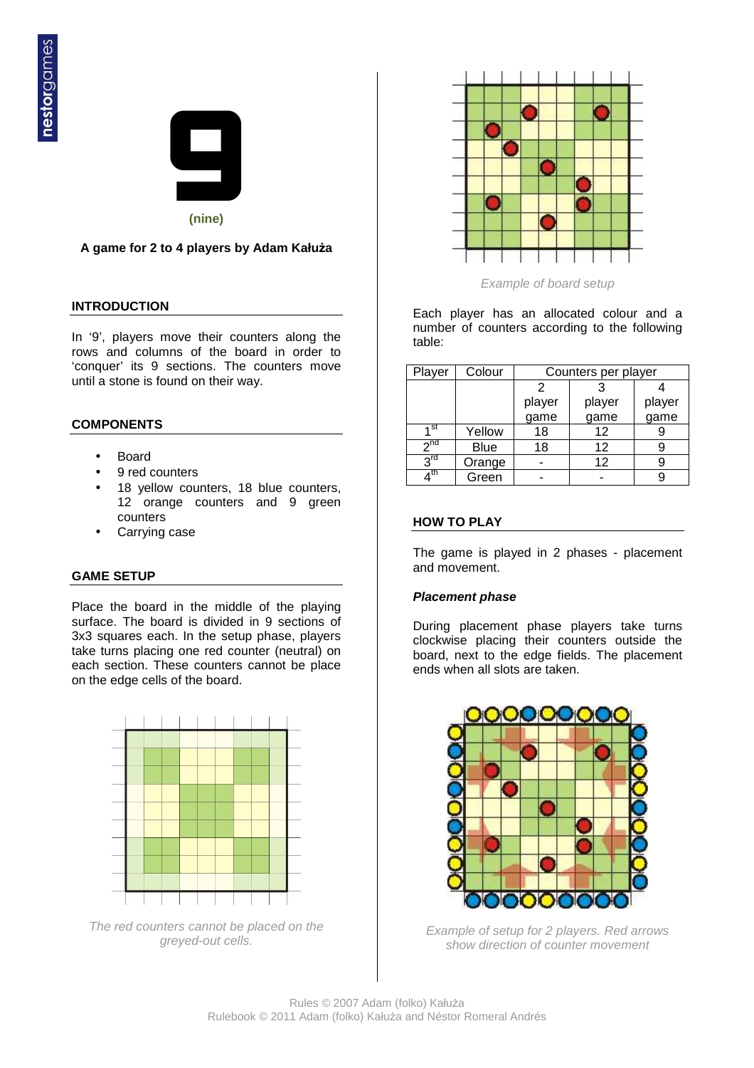

# **A game for 2 to 4 players by Adam Kałuża**

## **INTRODUCTION**

In '9', players move their counters along the rows and columns of the board in order to 'conquer' its 9 sections. The counters move until a stone is found on their way.

## **COMPONENTS**

- Board
- 9 red counters
- 18 yellow counters, 18 blue counters, 12 orange counters and 9 green counters
- Carrying case

## **GAME SETUP**

Place the board in the middle of the playing surface. The board is divided in 9 sections of 3x3 squares each. In the setup phase, players take turns placing one red counter (neutral) on each section. These counters cannot be place on the edge cells of the board.



The red counters cannot be placed on the greyed-out cells.



Example of board setup

Each player has an allocated colour and a number of counters according to the following table:

| Player            | Colour      | Counters per player |                |                |
|-------------------|-------------|---------------------|----------------|----------------|
|                   |             | 2                   |                |                |
|                   |             | player              | player<br>game | player<br>game |
|                   |             | game                |                |                |
| 4 st              | Yellow      | 18                  | 12             |                |
| $2^{nd}$          | <b>Blue</b> | 18                  | 12             |                |
| $3^{\text{rd}}$   | Orange      |                     | 12             |                |
| $\overline{A}$ th | Green       |                     |                |                |

## **HOW TO PLAY**

The game is played in 2 phases - placement and movement.

## **Placement phase**

During placement phase players take turns clockwise placing their counters outside the board, next to the edge fields. The placement ends when all slots are taken.



Example of setup for 2 players. Red arrows show direction of counter movement